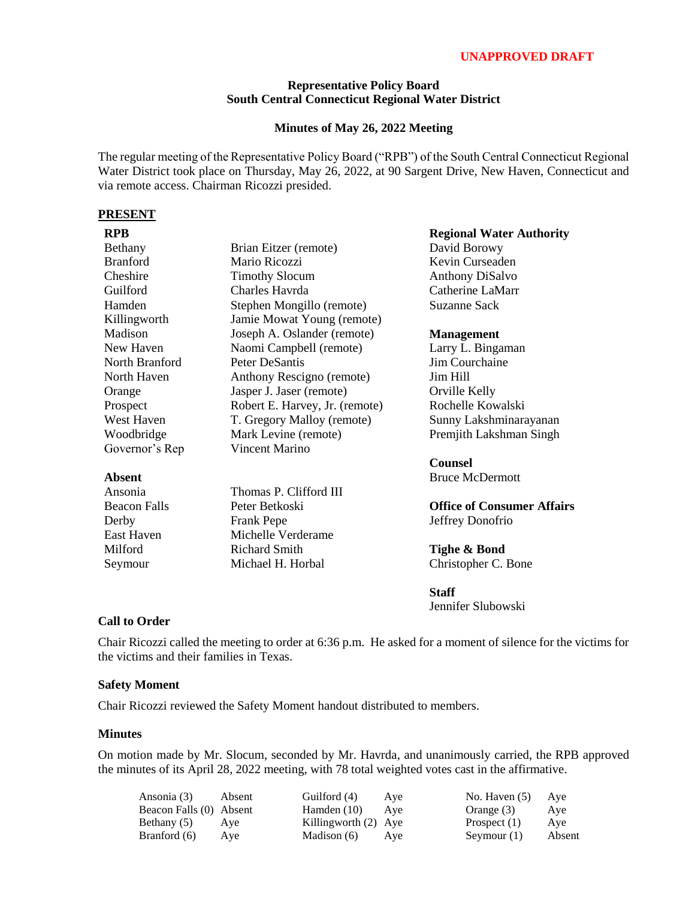## **UNAPPROVED DRAFT**

## **Representative Policy Board South Central Connecticut Regional Water District**

## **Minutes of May 26, 2022 Meeting**

The regular meeting of the Representative Policy Board ("RPB") of the South Central Connecticut Regional Water District took place on Thursday, May 26, 2022, at 90 Sargent Drive, New Haven, Connecticut and via remote access. Chairman Ricozzi presided.

### **PRESENT**

| <b>RPB</b>          |                                | <b>Regional Water Authority</b>   |  |
|---------------------|--------------------------------|-----------------------------------|--|
| <b>Bethany</b>      | Brian Eitzer (remote)          | David Borowy                      |  |
| <b>Branford</b>     | Mario Ricozzi                  | Kevin Curseaden                   |  |
| Cheshire            | <b>Timothy Slocum</b>          | <b>Anthony DiSalvo</b>            |  |
| Guilford            | Charles Havrda                 | Catherine LaMarr                  |  |
| Hamden              | Stephen Mongillo (remote)      | Suzanne Sack                      |  |
| Killingworth        | Jamie Mowat Young (remote)     |                                   |  |
| Madison             | Joseph A. Oslander (remote)    | <b>Management</b>                 |  |
| New Haven           | Naomi Campbell (remote)        | Larry L. Bingaman                 |  |
| North Branford      | <b>Peter DeSantis</b>          | Jim Courchaine                    |  |
| North Haven         | Anthony Rescigno (remote)      | Jim Hill                          |  |
| Orange              | Jasper J. Jaser (remote)       | Orville Kelly                     |  |
| Prospect            | Robert E. Harvey, Jr. (remote) | Rochelle Kowalski                 |  |
| West Haven          | T. Gregory Malloy (remote)     | Sunny Lakshminarayanan            |  |
| Woodbridge          | Mark Levine (remote)           | Premjith Lakshman Singh           |  |
| Governor's Rep      | Vincent Marino                 |                                   |  |
|                     |                                | <b>Counsel</b>                    |  |
| <b>Absent</b>       |                                | <b>Bruce McDermott</b>            |  |
| Ansonia             | Thomas P. Clifford III         |                                   |  |
| <b>Beacon Falls</b> | Peter Betkoski                 | <b>Office of Consumer Affairs</b> |  |
| Derby               | Frank Pepe                     | Jeffrey Donofrio                  |  |
| East Haven          | Michelle Verderame             |                                   |  |
| Milford             | <b>Richard Smith</b>           | Tighe & Bond                      |  |
| Seymour             | Michael H. Horbal              | Christopher C. Bone               |  |
|                     |                                | <b>Staff</b>                      |  |

Jennifer Slubowski

# **Call to Order**

Chair Ricozzi called the meeting to order at 6:36 p.m. He asked for a moment of silence for the victims for the victims and their families in Texas.

#### **Safety Moment**

Chair Ricozzi reviewed the Safety Moment handout distributed to members.

#### **Minutes**

On motion made by Mr. Slocum, seconded by Mr. Havrda, and unanimously carried, the RPB approved the minutes of its April 28, 2022 meeting, with 78 total weighted votes cast in the affirmative.

| Ansonia (3)             | Absent | Guilford (4)           | Ave | No. Haven $(5)$ | Ave    |
|-------------------------|--------|------------------------|-----|-----------------|--------|
| Beacon Falls (0) Absent |        | Hamden $(10)$          | Ave | Orange (3)      | Ave    |
| Bethany (5)             | Ave    | Killingworth $(2)$ Aye |     | Prospect $(1)$  | Aye    |
| Branford (6)            | Ave    | Madison (6)            | Ave | Seymour $(1)$   | Absent |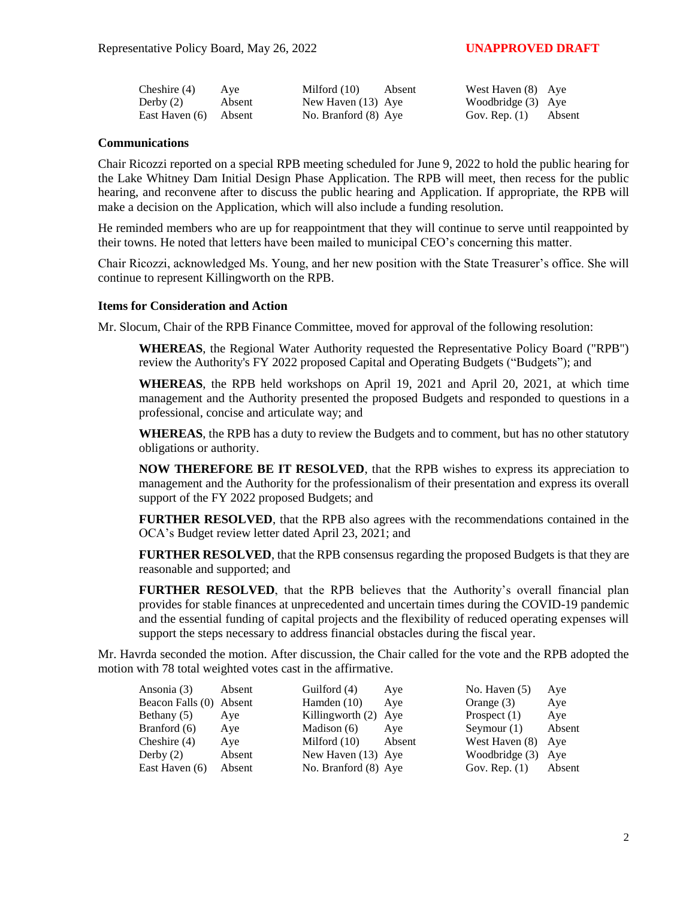| Cheshire (4)          | Aye    | Milford $(10)$       | Absent | West Haven (8) Aye     |  |
|-----------------------|--------|----------------------|--------|------------------------|--|
| Derby $(2)$           | Absent | New Haven $(13)$ Aye |        | Woodbridge (3) Aye     |  |
| East Haven (6) Absent |        | No. Branford (8) Aye |        | Gov. Rep. $(1)$ Absent |  |

#### **Communications**

Chair Ricozzi reported on a special RPB meeting scheduled for June 9, 2022 to hold the public hearing for the Lake Whitney Dam Initial Design Phase Application. The RPB will meet, then recess for the public hearing, and reconvene after to discuss the public hearing and Application. If appropriate, the RPB will make a decision on the Application, which will also include a funding resolution.

He reminded members who are up for reappointment that they will continue to serve until reappointed by their towns. He noted that letters have been mailed to municipal CEO's concerning this matter.

Chair Ricozzi, acknowledged Ms. Young, and her new position with the State Treasurer's office. She will continue to represent Killingworth on the RPB.

### **Items for Consideration and Action**

Mr. Slocum, Chair of the RPB Finance Committee, moved for approval of the following resolution:

**WHEREAS**, the Regional Water Authority requested the Representative Policy Board ("RPB") review the Authority's FY 2022 proposed Capital and Operating Budgets ("Budgets"); and

**WHEREAS**, the RPB held workshops on April 19, 2021 and April 20, 2021, at which time management and the Authority presented the proposed Budgets and responded to questions in a professional, concise and articulate way; and

**WHEREAS**, the RPB has a duty to review the Budgets and to comment, but has no other statutory obligations or authority.

**NOW THEREFORE BE IT RESOLVED**, that the RPB wishes to express its appreciation to management and the Authority for the professionalism of their presentation and express its overall support of the FY 2022 proposed Budgets; and

**FURTHER RESOLVED**, that the RPB also agrees with the recommendations contained in the OCA's Budget review letter dated April 23, 2021; and

**FURTHER RESOLVED**, that the RPB consensus regarding the proposed Budgets is that they are reasonable and supported; and

**FURTHER RESOLVED**, that the RPB believes that the Authority's overall financial plan provides for stable finances at unprecedented and uncertain times during the COVID-19 pandemic and the essential funding of capital projects and the flexibility of reduced operating expenses will support the steps necessary to address financial obstacles during the fiscal year.

Mr. Havrda seconded the motion. After discussion, the Chair called for the vote and the RPB adopted the motion with 78 total weighted votes cast in the affirmative.

| Ansonia (3)             | Absent | Guilford (4)         | Aye    | No. Haven $(5)$  | Aye    |
|-------------------------|--------|----------------------|--------|------------------|--------|
| Beacon Falls (0) Absent |        | Hamden $(10)$        | Ave    | Orange $(3)$     | Aye    |
| Bethany (5)             | Aye    | Killingworth (2) Aye |        | Prospect $(1)$   | Aye    |
| Branford (6)            | Aye    | Madison $(6)$        | Ave    | Seymour $(1)$    | Absent |
| Cheshire $(4)$          | Aye    | Milford $(10)$       | Absent | West Haven (8)   | Aye    |
| Derby $(2)$             | Absent | New Haven (13) Aye   |        | Woodbridge $(3)$ | Ave    |
| East Haven (6)          | Absent | No. Branford (8) Aye |        | Gov. Rep. $(1)$  | Absent |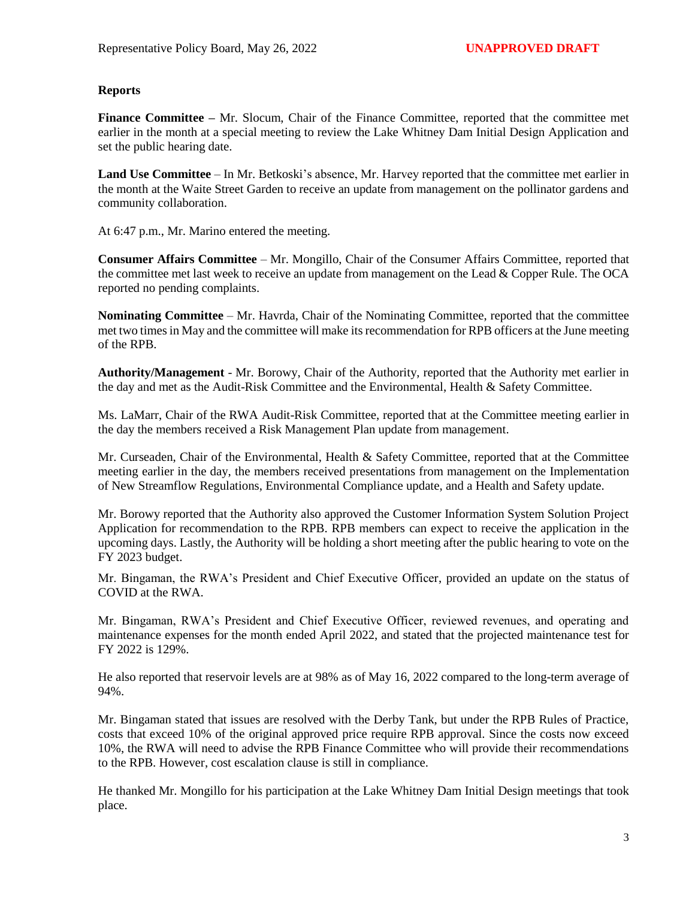# **Reports**

**Finance Committee –** Mr. Slocum, Chair of the Finance Committee, reported that the committee met earlier in the month at a special meeting to review the Lake Whitney Dam Initial Design Application and set the public hearing date.

**Land Use Committee** – In Mr. Betkoski's absence, Mr. Harvey reported that the committee met earlier in the month at the Waite Street Garden to receive an update from management on the pollinator gardens and community collaboration.

At 6:47 p.m., Mr. Marino entered the meeting.

**Consumer Affairs Committee** – Mr. Mongillo, Chair of the Consumer Affairs Committee, reported that the committee met last week to receive an update from management on the Lead & Copper Rule. The OCA reported no pending complaints.

**Nominating Committee** – Mr. Havrda, Chair of the Nominating Committee, reported that the committee met two times in May and the committee will make its recommendation for RPB officers at the June meeting of the RPB.

**Authority/Management** - Mr. Borowy, Chair of the Authority, reported that the Authority met earlier in the day and met as the Audit-Risk Committee and the Environmental, Health & Safety Committee.

Ms. LaMarr, Chair of the RWA Audit-Risk Committee, reported that at the Committee meeting earlier in the day the members received a Risk Management Plan update from management.

Mr. Curseaden, Chair of the Environmental, Health & Safety Committee, reported that at the Committee meeting earlier in the day, the members received presentations from management on the Implementation of New Streamflow Regulations, Environmental Compliance update, and a Health and Safety update.

Mr. Borowy reported that the Authority also approved the Customer Information System Solution Project Application for recommendation to the RPB. RPB members can expect to receive the application in the upcoming days. Lastly, the Authority will be holding a short meeting after the public hearing to vote on the FY 2023 budget.

Mr. Bingaman, the RWA's President and Chief Executive Officer, provided an update on the status of COVID at the RWA.

Mr. Bingaman, RWA's President and Chief Executive Officer, reviewed revenues, and operating and maintenance expenses for the month ended April 2022, and stated that the projected maintenance test for FY 2022 is 129%.

He also reported that reservoir levels are at 98% as of May 16, 2022 compared to the long-term average of 94%.

Mr. Bingaman stated that issues are resolved with the Derby Tank, but under the RPB Rules of Practice, costs that exceed 10% of the original approved price require RPB approval. Since the costs now exceed 10%, the RWA will need to advise the RPB Finance Committee who will provide their recommendations to the RPB. However, cost escalation clause is still in compliance.

He thanked Mr. Mongillo for his participation at the Lake Whitney Dam Initial Design meetings that took place.